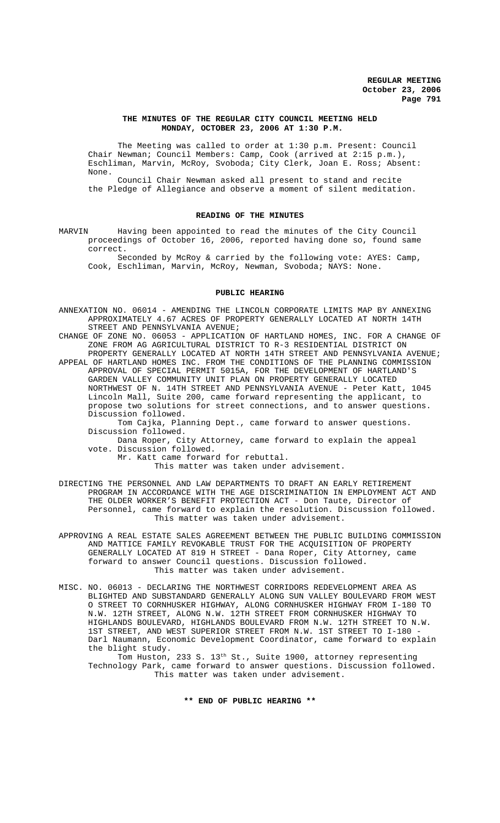### **THE MINUTES OF THE REGULAR CITY COUNCIL MEETING HELD MONDAY, OCTOBER 23, 2006 AT 1:30 P.M.**

The Meeting was called to order at 1:30 p.m. Present: Council Chair Newman; Council Members: Camp, Cook (arrived at 2:15 p.m.), Eschliman, Marvin, McRoy, Svoboda; City Clerk, Joan E. Ross; Absent: None.

Council Chair Newman asked all present to stand and recite the Pledge of Allegiance and observe a moment of silent meditation.

#### **READING OF THE MINUTES**

MARVIN Having been appointed to read the minutes of the City Council proceedings of October 16, 2006, reported having done so, found same correct.

Seconded by McRoy & carried by the following vote: AYES: Camp, Cook, Eschliman, Marvin, McRoy, Newman, Svoboda; NAYS: None.

#### **PUBLIC HEARING**

- ANNEXATION NO. 06014 AMENDING THE LINCOLN CORPORATE LIMITS MAP BY ANNEXING APPROXIMATELY 4.67 ACRES OF PROPERTY GENERALLY LOCATED AT NORTH 14TH STREET AND PENNSYLVANIA AVENUE;
- CHANGE OF ZONE NO. 06053 APPLICATION OF HARTLAND HOMES, INC. FOR A CHANGE OF ZONE FROM AG AGRICULTURAL DISTRICT TO R-3 RESIDENTIAL DISTRICT ON PROPERTY GENERALLY LOCATED AT NORTH 14TH STREET AND PENNSYLVANIA AVENUE;

APPEAL OF HARTLAND HOMES INC. FROM THE CONDITIONS OF THE PLANNING COMMISSION APPROVAL OF SPECIAL PERMIT 5015A, FOR THE DEVELOPMENT OF HARTLAND'S GARDEN VALLEY COMMUNITY UNIT PLAN ON PROPERTY GENERALLY LOCATED NORTHWEST OF N. 14TH STREET AND PENNSYLVANIA AVENUE - Peter Katt, 1045 Lincoln Mall, Suite 200, came forward representing the applicant, to propose two solutions for street connections, and to answer questions. Discussion followed.

Tom Cajka, Planning Dept., came forward to answer questions. Discussion followed.

Dana Roper, City Attorney, came forward to explain the appeal vote. Discussion followed.

Mr. Katt came forward for rebuttal.

This matter was taken under advisement.

DIRECTING THE PERSONNEL AND LAW DEPARTMENTS TO DRAFT AN EARLY RETIREMENT PROGRAM IN ACCORDANCE WITH THE AGE DISCRIMINATION IN EMPLOYMENT ACT AND THE OLDER WORKER'S BENEFIT PROTECTION ACT - Don Taute, Director of Personnel, came forward to explain the resolution. Discussion followed. This matter was taken under advisement.

APPROVING A REAL ESTATE SALES AGREEMENT BETWEEN THE PUBLIC BUILDING COMMISSION AND MATTICE FAMILY REVOKABLE TRUST FOR THE ACQUISITION OF PROPERTY GENERALLY LOCATED AT 819 H STREET - Dana Roper, City Attorney, came forward to answer Council questions. Discussion followed. This matter was taken under advisement.

MISC. NO. 06013 - DECLARING THE NORTHWEST CORRIDORS REDEVELOPMENT AREA AS BLIGHTED AND SUBSTANDARD GENERALLY ALONG SUN VALLEY BOULEVARD FROM WEST O STREET TO CORNHUSKER HIGHWAY, ALONG CORNHUSKER HIGHWAY FROM I-180 TO N.W. 12TH STREET, ALONG N.W. 12TH STREET FROM CORNHUSKER HIGHWAY TO HIGHLANDS BOULEVARD, HIGHLANDS BOULEVARD FROM N.W. 12TH STREET TO N.W. 1ST STREET, AND WEST SUPERIOR STREET FROM N.W. 1ST STREET TO I-180 - Darl Naumann, Economic Development Coordinator, came forward to explain the blight study.

Tom Huston, 233 S. 13<sup>th</sup> St., Suite 1900, attorney representing Technology Park, came forward to answer questions. Discussion followed. This matter was taken under advisement.

**\*\* END OF PUBLIC HEARING \*\***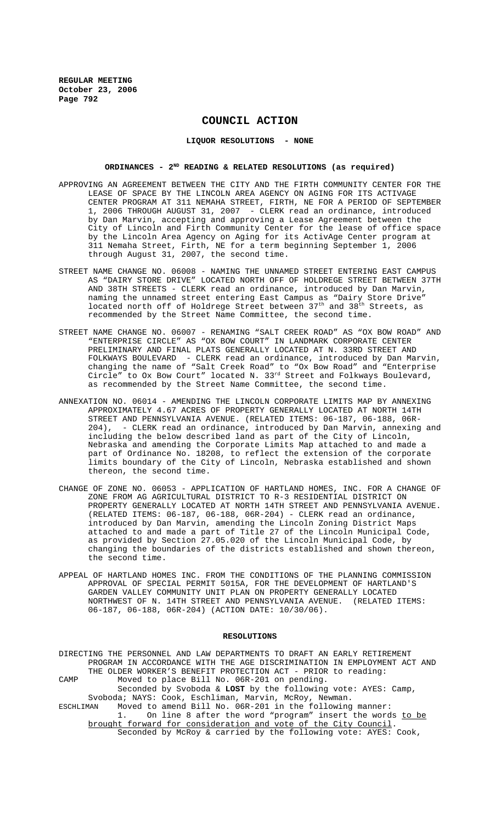# **COUNCIL ACTION**

**LIQUOR RESOLUTIONS - NONE**

## ORDINANCES - 2<sup>ND</sup> READING & RELATED RESOLUTIONS (as required)

- APPROVING AN AGREEMENT BETWEEN THE CITY AND THE FIRTH COMMUNITY CENTER FOR THE LEASE OF SPACE BY THE LINCOLN AREA AGENCY ON AGING FOR ITS ACTIVAGE CENTER PROGRAM AT 311 NEMAHA STREET, FIRTH, NE FOR A PERIOD OF SEPTEMBER 1, 2006 THROUGH AUGUST 31, 2007 - CLERK read an ordinance, introduced by Dan Marvin, accepting and approving a Lease Agreement between the City of Lincoln and Firth Community Center for the lease of office space by the Lincoln Area Agency on Aging for its ActivAge Center program at 311 Nemaha Street, Firth, NE for a term beginning September 1, 2006 through August 31, 2007, the second time.
- STREET NAME CHANGE NO. 06008 NAMING THE UNNAMED STREET ENTERING EAST CAMPUS AS "DAIRY STORE DRIVE" LOCATED NORTH OFF OF HOLDREGE STREET BETWEEN 37TH AND 38TH STREETS - CLERK read an ordinance, introduced by Dan Marvin, naming the unnamed street entering East Campus as "Dairy Store Drive" located north off of Holdrege Street between 37<sup>th</sup> and 38<sup>th</sup> Streets, as recommended by the Street Name Committee, the second time.
- STREET NAME CHANGE NO. 06007 RENAMING "SALT CREEK ROAD" AS "OX BOW ROAD" AND "ENTERPRISE CIRCLE" AS "OX BOW COURT" IN LANDMARK CORPORATE CENTER PRELIMINARY AND FINAL PLATS GENERALLY LOCATED AT N. 33RD STREET AND FOLKWAYS BOULEVARD - CLERK read an ordinance, introduced by Dan Marvin, changing the name of "Salt Creek Road" to "Ox Bow Road" and "Enterprise Circle" to Ox Bow Court" located N.  $33^{rd}$  Street and Folkways Boulevard, as recommended by the Street Name Committee, the second time.
- ANNEXATION NO. 06014 AMENDING THE LINCOLN CORPORATE LIMITS MAP BY ANNEXING APPROXIMATELY 4.67 ACRES OF PROPERTY GENERALLY LOCATED AT NORTH 14TH STREET AND PENNSYLVANIA AVENUE. (RELATED ITEMS: 06-187, 06-188, 06R-<br>204), - CLERK read an ordinance, introduced by Dan Marvin, annexing - CLERK read an ordinance, introduced by Dan Marvin, annexing and including the below described land as part of the City of Lincoln, Nebraska and amending the Corporate Limits Map attached to and made a part of Ordinance No. 18208, to reflect the extension of the corporate limits boundary of the City of Lincoln, Nebraska established and shown thereon, the second time.
- CHANGE OF ZONE NO. 06053 APPLICATION OF HARTLAND HOMES, INC. FOR A CHANGE OF ZONE FROM AG AGRICULTURAL DISTRICT TO R-3 RESIDENTIAL DISTRICT ON PROPERTY GENERALLY LOCATED AT NORTH 14TH STREET AND PENNSYLVANIA AVENUE. (RELATED ITEMS: 06-187, 06-188, 06R-204) - CLERK read an ordinance, introduced by Dan Marvin, amending the Lincoln Zoning District Maps attached to and made a part of Title 27 of the Lincoln Municipal Code, as provided by Section 27.05.020 of the Lincoln Municipal Code, by changing the boundaries of the districts established and shown thereon, the second time.
- APPEAL OF HARTLAND HOMES INC. FROM THE CONDITIONS OF THE PLANNING COMMISSION APPROVAL OF SPECIAL PERMIT 5015A, FOR THE DEVELOPMENT OF HARTLAND'S GARDEN VALLEY COMMUNITY UNIT PLAN ON PROPERTY GENERALLY LOCATED NORTHWEST OF N. 14TH STREET AND PENNSYLVANIA AVENUE. (RELATED ITEMS: 06-187, 06-188, 06R-204) (ACTION DATE: 10/30/06).

#### **RESOLUTIONS**

DIRECTING THE PERSONNEL AND LAW DEPARTMENTS TO DRAFT AN EARLY RETIREMENT PROGRAM IN ACCORDANCE WITH THE AGE DISCRIMINATION IN EMPLOYMENT ACT AND THE OLDER WORKER'S BENEFIT PROTECTION ACT - PRIOR to reading: CAMP Moved to place Bill No. 06R-201 on pending. Seconded by Svoboda & **LOST** by the following vote: AYES: Camp, Svoboda; NAYS: Cook, Eschliman, Marvin, McRoy, Newman. ESCHLIMAN Moved to amend Bill No. 06R-201 in the following manner: 1. On line 8 after the word "program" insert the words to be brought forward for consideration and vote of the City Council. Seconded by McRoy & carried by the following vote: AYES: Cook,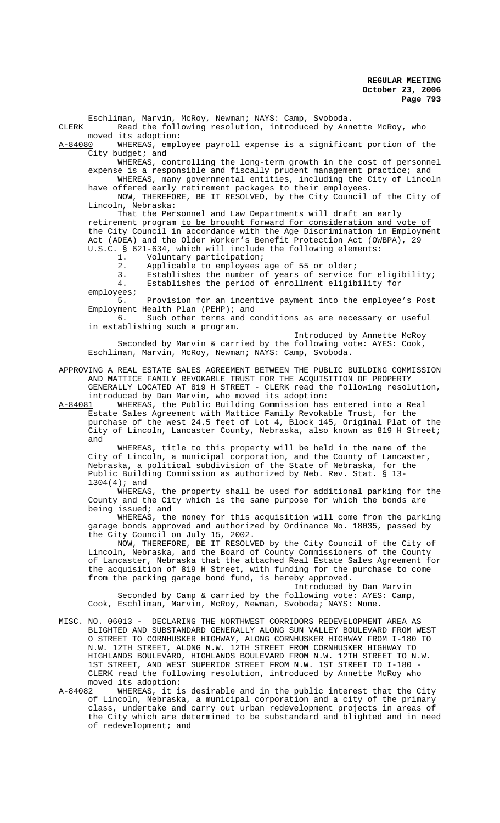Eschliman, Marvin, McRoy, Newman; NAYS: Camp, Svoboda. CLERK Read the following resolution, introduced by Annette McRoy, who moved its adoption:<br>A-84080 WHEREAS, empl WHEREAS, employee payroll expense is a significant portion of the City budget; and WHEREAS, controlling the long-term growth in the cost of personnel expense is a responsible and fiscally prudent management practice; and WHEREAS, many governmental entities, including the City of Lincoln

have offered early retirement packages to their employees. NOW, THEREFORE, BE IT RESOLVED, by the City Council of the City of Lincoln, Nebraska:

That the Personnel and Law Departments will draft an early retirement program to be brought forward for consideration and vote of the City Council in accordance with the Age Discrimination in Employment Act (ADEA) and the Older Worker's Benefit Protection Act (OWBPA), 29 U.S.C. § 621-634, which will include the following elements:

1. Voluntary participation;

2. Applicable to employees age of 55 or older;

3. Establishes the number of years of service for eligibility;

4. Establishes the period of enrollment eligibility for

employees;<br>5. Provision for an incentive payment into the employee's Post Employment Health Plan (PEHP); and<br>6. Such other terms and co

Such other terms and conditions as are necessary or useful in establishing such a program.

Introduced by Annette McRoy Seconded by Marvin & carried by the following vote: AYES: Cook, Eschliman, Marvin, McRoy, Newman; NAYS: Camp, Svoboda.

APPROVING A REAL ESTATE SALES AGREEMENT BETWEEN THE PUBLIC BUILDING COMMISSION AND MATTICE FAMILY REVOKABLE TRUST FOR THE ACQUISITION OF PROPERTY GENERALLY LOCATED AT 819 H STREET - CLERK read the following resolution, introduced by Dan Marvin, who moved its adoption:

A-84081 WHEREAS, the Public Building Commission has entered into a Real Estate Sales Agreement with Mattice Family Revokable Trust, for the purchase of the west 24.5 feet of Lot 4, Block 145, Original Plat of the City of Lincoln, Lancaster County, Nebraska, also known as 819 H Street; and

WHEREAS, title to this property will be held in the name of the City of Lincoln, a municipal corporation, and the County of Lancaster, Nebraska, a political subdivision of the State of Nebraska, for the Public Building Commission as authorized by Neb. Rev. Stat. § 13- 1304(4); and

WHEREAS, the property shall be used for additional parking for the County and the City which is the same purpose for which the bonds are being issued; and

WHEREAS, the money for this acquisition will come from the parking garage bonds approved and authorized by Ordinance No. 18035, passed by the City Council on July 15, 2002.

NOW, THEREFORE, BE IT RESOLVED by the City Council of the City of Lincoln, Nebraska, and the Board of County Commissioners of the County of Lancaster, Nebraska that the attached Real Estate Sales Agreement for the acquisition of 819 H Street, with funding for the purchase to come from the parking garage bond fund, is hereby approved.

Introduced by Dan Marvin Seconded by Camp & carried by the following vote: AYES: Camp, Cook, Eschliman, Marvin, McRoy, Newman, Svoboda; NAYS: None.

- MISC. NO. 06013 DECLARING THE NORTHWEST CORRIDORS REDEVELOPMENT AREA AS BLIGHTED AND SUBSTANDARD GENERALLY ALONG SUN VALLEY BOULEVARD FROM WEST O STREET TO CORNHUSKER HIGHWAY, ALONG CORNHUSKER HIGHWAY FROM I-180 TO N.W. 12TH STREET, ALONG N.W. 12TH STREET FROM CORNHUSKER HIGHWAY TO HIGHLANDS BOULEVARD, HIGHLANDS BOULEVARD FROM N.W. 12TH STREET TO N.W. 1ST STREET, AND WEST SUPERIOR STREET FROM N.W. 1ST STREET TO I-180 - CLERK read the following resolution, introduced by Annette McRoy who moved its adoption:
- A-84082 WHEREAS, it is desirable and in the public interest that the City of Lincoln, Nebraska, a municipal corporation and a city of the primary class, undertake and carry out urban redevelopment projects in areas of the City which are determined to be substandard and blighted and in need of redevelopment; and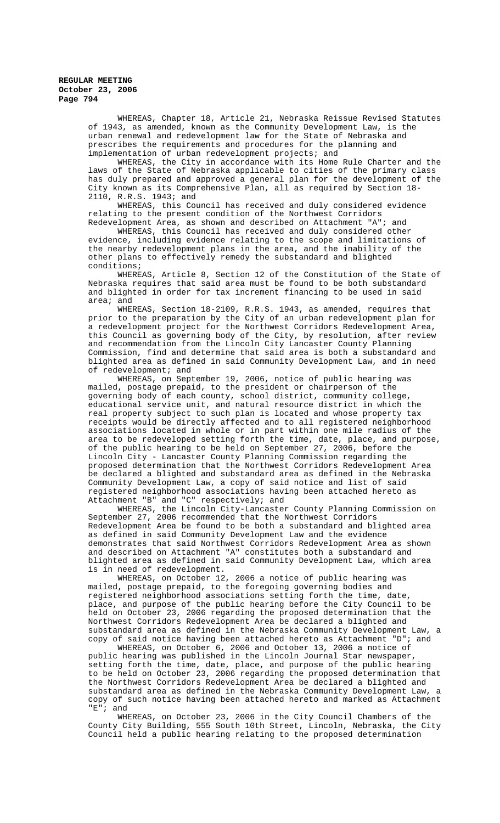> WHEREAS, Chapter 18, Article 21, Nebraska Reissue Revised Statutes of 1943, as amended, known as the Community Development Law, is the urban renewal and redevelopment law for the State of Nebraska and prescribes the requirements and procedures for the planning and implementation of urban redevelopment projects; and

> WHEREAS, the City in accordance with its Home Rule Charter and the laws of the State of Nebraska applicable to cities of the primary class has duly prepared and approved a general plan for the development of the City known as its Comprehensive Plan, all as required by Section 18- 2110, R.R.S. 1943; and

WHEREAS, this Council has received and duly considered evidence relating to the present condition of the Northwest Corridors Redevelopment Area, as shown and described on Attachment "A"; and

WHEREAS, this Council has received and duly considered other evidence, including evidence relating to the scope and limitations of the nearby redevelopment plans in the area, and the inability of the other plans to effectively remedy the substandard and blighted conditions;

WHEREAS, Article 8, Section 12 of the Constitution of the State of Nebraska requires that said area must be found to be both substandard and blighted in order for tax increment financing to be used in said area; and

WHEREAS, Section 18-2109, R.R.S. 1943, as amended, requires that prior to the preparation by the City of an urban redevelopment plan for -<br>a redevelopment project for the Northwest Corridors Redevelopment Area, this Council as governing body of the City, by resolution, after review and recommendation from the Lincoln City Lancaster County Planning Commission, find and determine that said area is both a substandard and blighted area as defined in said Community Development Law, and in need of redevelopment; and

WHEREAS, on September 19, 2006, notice of public hearing was mailed, postage prepaid, to the president or chairperson of the governing body of each county, school district, community college, educational service unit, and natural resource district in which the real property subject to such plan is located and whose property tax receipts would be directly affected and to all registered neighborhood associations located in whole or in part within one mile radius of the area to be redeveloped setting forth the time, date, place, and purpose, of the public hearing to be held on September 27, 2006, before the Lincoln City - Lancaster County Planning Commission regarding the proposed determination that the Northwest Corridors Redevelopment Area be declared a blighted and substandard area as defined in the Nebraska Community Development Law, a copy of said notice and list of said registered neighborhood associations having been attached hereto as Attachment "B" and "C" respectively; and

WHEREAS, the Lincoln City-Lancaster County Planning Commission on September 27, 2006 recommended that the Northwest Corridors Redevelopment Area be found to be both a substandard and blighted area as defined in said Community Development Law and the evidence demonstrates that said Northwest Corridors Redevelopment Area as shown and described on Attachment "A" constitutes both a substandard and blighted area as defined in said Community Development Law, which area is in need of redevelopment.

WHEREAS, on October 12, 2006 a notice of public hearing was mailed, postage prepaid, to the foregoing governing bodies and registered neighborhood associations setting forth the time, date, place, and purpose of the public hearing before the City Council to be held on October 23, 2006 regarding the proposed determination that the Northwest Corridors Redevelopment Area be declared a blighted and substandard area as defined in the Nebraska Community Development Law, a copy of said notice having been attached hereto as Attachment "D"; and

WHEREAS, on October 6, 2006 and October 13, 2006 a notice of public hearing was published in the Lincoln Journal Star newspaper, setting forth the time, date, place, and purpose of the public hearing to be held on October 23, 2006 regarding the proposed determination that the Northwest Corridors Redevelopment Area be declared a blighted and substandard area as defined in the Nebraska Community Development Law, a copy of such notice having been attached hereto and marked as Attachment "E"; and

WHEREAS, on October 23, 2006 in the City Council Chambers of the County City Building, 555 South 10th Street, Lincoln, Nebraska, the City Council held a public hearing relating to the proposed determination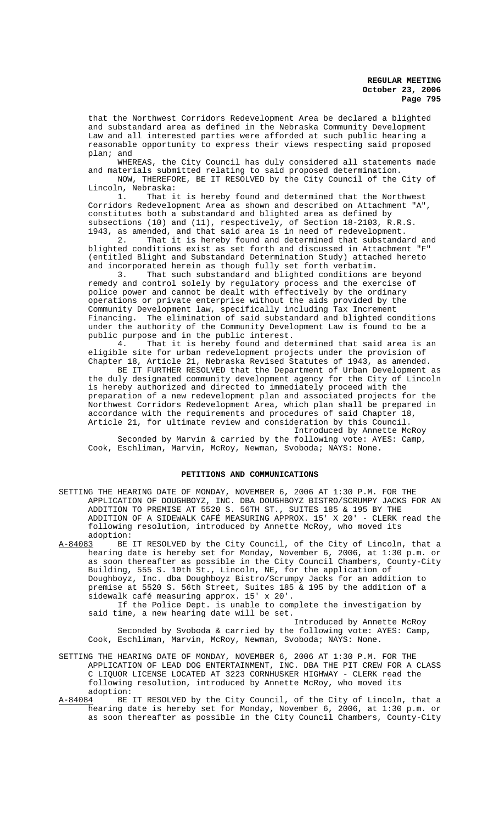that the Northwest Corridors Redevelopment Area be declared a blighted and substandard area as defined in the Nebraska Community Development Law and all interested parties were afforded at such public hearing a reasonable opportunity to express their views respecting said proposed plan; and

WHEREAS, the City Council has duly considered all statements made and materials submitted relating to said proposed determination.

NOW, THEREFORE, BE IT RESOLVED by the City Council of the City of Lincoln, Nebraska:

1. That it is hereby found and determined that the Northwest Corridors Redevelopment Area as shown and described on Attachment "A", constitutes both a substandard and blighted area as defined by subsections (10) and (11), respectively, of Section 18-2103, R.R.S. 1943, as amended, and that said area is in need of redevelopment.

2. That it is hereby found and determined that substandard and blighted conditions exist as set forth and discussed in Attachment "F" (entitled Blight and Substandard Determination Study) attached hereto and incorporated herein as though fully set forth verbatim.

3. That such substandard and blighted conditions are beyond remedy and control solely by regulatory process and the exercise of police power and cannot be dealt with effectively by the ordinary operations or private enterprise without the aids provided by the Community Development law, specifically including Tax Increment Financing. The elimination of said substandard and blighted conditions under the authority of the Community Development Law is found to be a public purpose and in the public interest.<br>4. That it is hereby found and de

That it is hereby found and determined that said area is an eligible site for urban redevelopment projects under the provision of Chapter 18, Article 21, Nebraska Revised Statutes of 1943, as amended.

BE IT FURTHER RESOLVED that the Department of Urban Development as the duly designated community development agency for the City of Lincoln is hereby authorized and directed to immediately proceed with the preparation of a new redevelopment plan and associated projects for the Northwest Corridors Redevelopment Area, which plan shall be prepared in accordance with the requirements and procedures of said Chapter 18, Article 21, for ultimate review and consideration by this Council.

Introduced by Annette McRoy Seconded by Marvin & carried by the following vote: AYES: Camp, Cook, Eschliman, Marvin, McRoy, Newman, Svoboda; NAYS: None.

## **PETITIONS AND COMMUNICATIONS**

SETTING THE HEARING DATE OF MONDAY, NOVEMBER 6, 2006 AT 1:30 P.M. FOR THE APPLICATION OF DOUGHBOYZ, INC. DBA DOUGHBOYZ BISTRO/SCRUMPY JACKS FOR AN ADDITION TO PREMISE AT 5520 S. 56TH ST., SUITES 185 & 195 BY THE ADDITION OF A SIDEWALK CAFÉ MEASURING APPROX. 15' X 20' - CLERK read the following resolution, introduced by Annette McRoy, who moved its

adoption:<br><u>A-84083</u> BE BE IT RESOLVED by the City Council, of the City of Lincoln, that a hearing date is hereby set for Monday, November 6, 2006, at 1:30 p.m. or as soon thereafter as possible in the City Council Chambers, County-City Building, 555 S. 10th St., Lincoln, NE, for the application of Doughboyz, Inc. dba Doughboyz Bistro/Scrumpy Jacks for an addition to premise at 5520 S. 56th Street, Suites 185 & 195 by the addition of a sidewalk café measuring approx. 15' x 20'.

If the Police Dept. is unable to complete the investigation by said time, a new hearing date will be set. Introduced by Annette McRoy

Seconded by Svoboda & carried by the following vote: AYES: Camp, Cook, Eschliman, Marvin, McRoy, Newman, Svoboda; NAYS: None.

- SETTING THE HEARING DATE OF MONDAY, NOVEMBER 6, 2006 AT 1:30 P.M. FOR THE APPLICATION OF LEAD DOG ENTERTAINMENT, INC. DBA THE PIT CREW FOR A CLASS C LIQUOR LICENSE LOCATED AT 3223 CORNHUSKER HIGHWAY - CLERK read the following resolution, introduced by Annette McRoy, who moved its adoption:
- A-84084 BE IT RESOLVED by the City Council, of the City of Lincoln, that a hearing date is hereby set for Monday, November 6, 2006, at 1:30 p.m. or as soon thereafter as possible in the City Council Chambers, County-City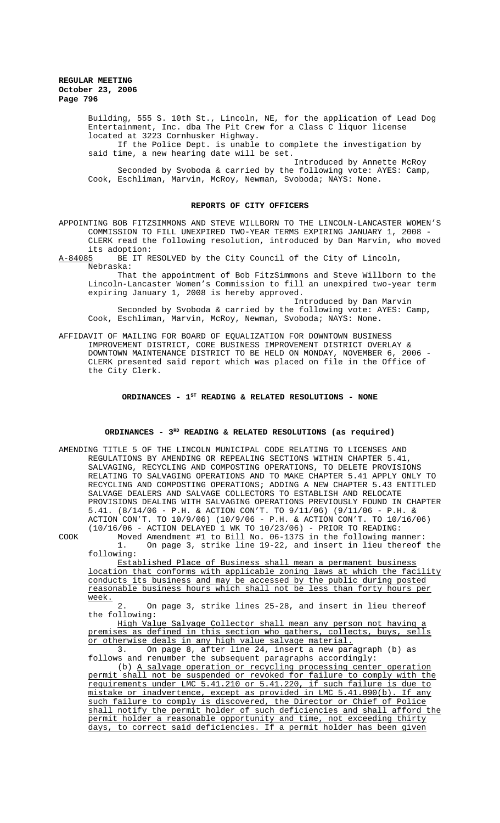> Building, 555 S. 10th St., Lincoln, NE, for the application of Lead Dog Entertainment, Inc. dba The Pit Crew for a Class C liquor license located at 3223 Cornhusker Highway.

If the Police Dept. is unable to complete the investigation by said time, a new hearing date will be set.

Introduced by Annette McRoy Seconded by Svoboda & carried by the following vote: AYES: Camp, Cook, Eschliman, Marvin, McRoy, Newman, Svoboda; NAYS: None.

#### **REPORTS OF CITY OFFICERS**

APPOINTING BOB FITZSIMMONS AND STEVE WILLBORN TO THE LINCOLN-LANCASTER WOMEN'S COMMISSION TO FILL UNEXPIRED TWO-YEAR TERMS EXPIRING JANUARY 1, 2008 - CLERK read the following resolution, introduced by Dan Marvin, who moved

its adoption:<br>A-84085 BE IT R BE IT RESOLVED by the City Council of the City of Lincoln, Nebraska:

That the appointment of Bob FitzSimmons and Steve Willborn to the Lincoln-Lancaster Women's Commission to fill an unexpired two-year term expiring January 1, 2008 is hereby approved.

Introduced by Dan Marvin Seconded by Svoboda & carried by the following vote: AYES: Camp, Cook, Eschliman, Marvin, McRoy, Newman, Svoboda; NAYS: None.

AFFIDAVIT OF MAILING FOR BOARD OF EQUALIZATION FOR DOWNTOWN BUSINESS IMPROVEMENT DISTRICT, CORE BUSINESS IMPROVEMENT DISTRICT OVERLAY & DOWNTOWN MAINTENANCE DISTRICT TO BE HELD ON MONDAY, NOVEMBER 6, 2006 - CLERK presented said report which was placed on file in the Office of the City Clerk.

## ORDINANCES - 1<sup>st</sup> READING & RELATED RESOLUTIONS - NONE

#### **ORDINANCES - 3RD READING & RELATED RESOLUTIONS (as required)**

AMENDING TITLE 5 OF THE LINCOLN MUNICIPAL CODE RELATING TO LICENSES AND REGULATIONS BY AMENDING OR REPEALING SECTIONS WITHIN CHAPTER 5.41, SALVAGING, RECYCLING AND COMPOSTING OPERATIONS, TO DELETE PROVISIONS RELATING TO SALVAGING OPERATIONS AND TO MAKE CHAPTER 5.41 APPLY ONLY TO RECYCLING AND COMPOSTING OPERATIONS; ADDING A NEW CHAPTER 5.43 ENTITLED SALVAGE DEALERS AND SALVAGE COLLECTORS TO ESTABLISH AND RELOCATE PROVISIONS DEALING WITH SALVAGING OPERATIONS PREVIOUSLY FOUND IN CHAPTER 5.41. (8/14/06 - P.H. & ACTION CON'T. TO 9/11/06) (9/11/06 - P.H. & ACTION CON'T. TO 10/9/06) (10/9/06 - P.H. & ACTION CON'T. TO 10/16/06) (10/16/06 - ACTION DELAYED 1 WK TO 10/23/06) - PRIOR TO READING:

COOK Moved Amendment #1 to Bill No. 06-137S in the following manner: On page 3, strike line 19-22, and insert in lieu thereof the following:

Established Place of Business shall mean a permanent business location that conforms with applicable zoning laws at which the facility conducts its business and may be accessed by the public during posted reasonable business hours which shall not be less than forty hours per week.

2. On page 3, strike lines 25-28, and insert in lieu thereof the following:

High Value Salvage Collector shall mean any person not having a premises as defined in this section who gathers, collects, buys, sells or otherwise deals in any high value salvage material.<br>3. On page 8, after line 24, insert a new par

3. On page 8, after line 24, insert a new paragraph (b) as follows and renumber the subsequent paragraphs accordingly:

(b) A salvage operation or recycling processing center operation permit shall not be suspended or revoked for failure to comply with the requirements under LMC 5.41.210 or 5.41.220, if such failure is due to mistake or inadvertence, except as provided in LMC 5.41.090(b). If any such failure to comply is discovered, the Director or Chief of Police shall notify the permit holder of such deficiencies and shall afford the permit holder a reasonable opportunity and time, not exceeding thirty days, to correct said deficiencies. If a permit holder has been given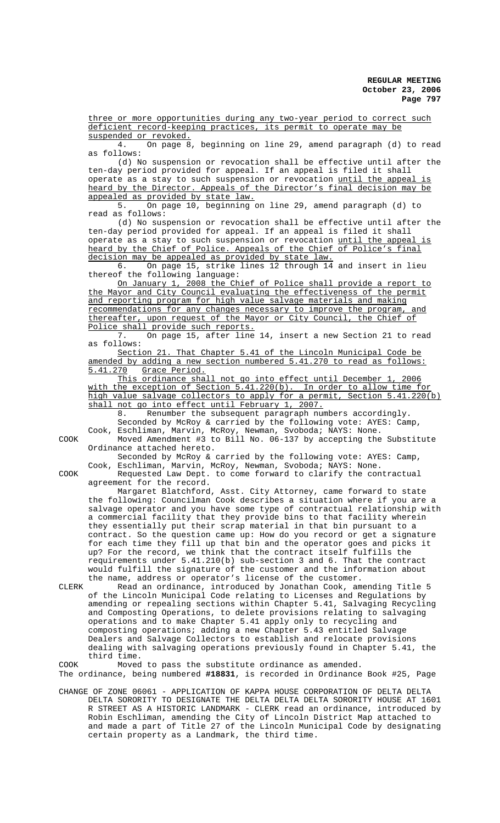three or more opportunities during any two-year period to correct such deficient record-keeping practices, its permit to operate may be suspended or revoked.

4. On page 8, beginning on line 29, amend paragraph (d) to read as follows:

(d) No suspension or revocation shall be effective until after the ten-day period provided for appeal. If an appeal is filed it shall operate as a stay to such suspension or revocation until the appeal is heard by the Director. Appeals of the Director's final decision may be appealed as provided by state law.

5. On page 10, beginning on line 29, amend paragraph (d) to read as follows:

(d) No suspension or revocation shall be effective until after the ten-day period provided for appeal. If an appeal is filed it shall operate as a stay to such suspension or revocation until the appeal heard by the Chief of Police. Appeals of the Chief of Police's final decision may be appealed as provided by state law.

6. On page 15, strike lines 12 through 14 and insert in lieu thereof the following language:

On January 1, 2008 the Chief of Police shall provide a report to the Mayor and City Council evaluating the effectiveness of the permit and reporting program for high value salvage materials and making recommendations for any changes necessary to improve the program, and thereafter, upon request of the Mayor or City Council, the Chief of Police shall provide such reports.

7. On page 15, after line 14, insert a new Section 21 to read as follows:

Section 21. That Chapter 5.41 of the Lincoln Municipal Code be amended by adding a new section numbered 5.41.270 to read as follows: 5.41.270 Grace Period.

This ordinance shall not go into effect until December 1, 2006 with the exception of Section 5.41.220(b). In order to allow time for high value salvage collectors to apply for a permit, Section 5.41.220(b) shall not go into effect until February 1, 2007.

8. Renumber the subsequent paragraph numbers accordingly.

Seconded by McRoy & carried by the following vote: AYES: Camp, Cook, Eschliman, Marvin, McRoy, Newman, Svoboda; NAYS: None.

COOK Moved Amendment #3 to Bill No. 06-137 by accepting the Substitute Ordinance attached hereto.

Seconded by McRoy & carried by the following vote: AYES: Camp, Cook, Eschliman, Marvin, McRoy, Newman, Svoboda; NAYS: None.

COOK Requested Law Dept. to come forward to clarify the contractual agreement for the record.

Margaret Blatchford, Asst. City Attorney, came forward to state the following: Councilman Cook describes a situation where if you are a salvage operator and you have some type of contractual relationship with a commercial facility that they provide bins to that facility wherein they essentially put their scrap material in that bin pursuant to a contract. So the question came up: How do you record or get a signature for each time they fill up that bin and the operator goes and picks it up? For the record, we think that the contract itself fulfills the requirements under 5.41.210(b) sub-section 3 and 6. That the contract would fulfill the signature of the customer and the information about the name, address or operator's license of the customer.

CLERK Read an ordinance, introduced by Jonathan Cook, amending Title 5 of the Lincoln Municipal Code relating to Licenses and Regulations by amending or repealing sections within Chapter 5.41, Salvaging Recycling and Composting Operations, to delete provisions relating to salvaging operations and to make Chapter 5.41 apply only to recycling and composting operations; adding a new Chapter 5.43 entitled Salvage Dealers and Salvage Collectors to establish and relocate provisions dealing with salvaging operations previously found in Chapter 5.41, the third time.

COOK Moved to pass the substitute ordinance as amended. The ordinance, being numbered **#18831**, is recorded in Ordinance Book #25, Page

CHANGE OF ZONE 06061 - APPLICATION OF KAPPA HOUSE CORPORATION OF DELTA DELTA DELTA SORORITY TO DESIGNATE THE DELTA DELTA DELTA SORORITY HOUSE AT 1601 R STREET AS A HISTORIC LANDMARK - CLERK read an ordinance, introduced by Robin Eschliman, amending the City of Lincoln District Map attached to and made a part of Title 27 of the Lincoln Municipal Code by designating certain property as a Landmark, the third time.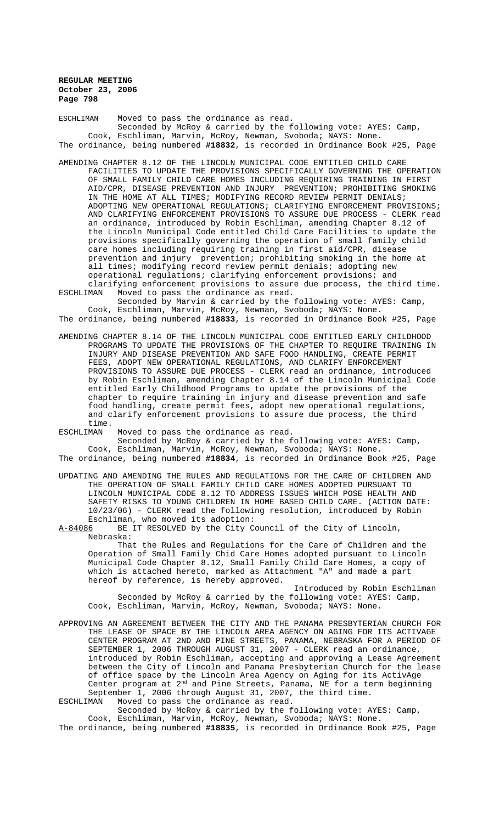ESCHLIMAN Moved to pass the ordinance as read. Seconded by McRoy & carried by the following vote: AYES: Camp, Cook, Eschliman, Marvin, McRoy, Newman, Svoboda; NAYS: None. The ordinance, being numbered **#18832**, is recorded in Ordinance Book #25, Page

- AMENDING CHAPTER 8.12 OF THE LINCOLN MUNICIPAL CODE ENTITLED CHILD CARE FACILITIES TO UPDATE THE PROVISIONS SPECIFICALLY GOVERNING THE OPERATION OF SMALL FAMILY CHILD CARE HOMES INCLUDING REQUIRING TRAINING IN FIRST AID/CPR, DISEASE PREVENTION AND INJURY PREVENTION; PROHIBITING SMOKING IN THE HOME AT ALL TIMES; MODIFYING RECORD REVIEW PERMIT DENIALS; ADOPTING NEW OPERATIONAL REGULATIONS; CLARIFYING ENFORCEMENT PROVISIONS; AND CLARIFYING ENFORCEMENT PROVISIONS TO ASSURE DUE PROCESS - CLERK read an ordinance, introduced by Robin Eschliman, amending Chapter 8.12 of the Lincoln Municipal Code entitled Child Care Facilities to update the provisions specifically governing the operation of small family child care homes including requiring training in first aid/CPR, disease prevention and injury prevention; prohibiting smoking in the home at all times; modifying record review permit denials; adopting new operational regulations; clarifying enforcement provisions; and
- clarifying enforcement provisions to assure due process, the third time.<br>ESCHLIMAN Woved to pass the ordinance as read. Moved to pass the ordinance as read. Seconded by Marvin & carried by the following vote: AYES: Camp,

Cook, Eschliman, Marvin, McRoy, Newman, Svoboda; NAYS: None. The ordinance, being numbered **#18833**, is recorded in Ordinance Book #25, Page

AMENDING CHAPTER 8.14 OF THE LINCOLN MUNICIPAL CODE ENTITLED EARLY CHILDHOOD PROGRAMS TO UPDATE THE PROVISIONS OF THE CHAPTER TO REQUIRE TRAINING IN INJURY AND DISEASE PREVENTION AND SAFE FOOD HANDLING, CREATE PERMIT FEES, ADOPT NEW OPERATIONAL REGULATIONS, AND CLARIFY ENFORCEMENT PROVISIONS TO ASSURE DUE PROCESS - CLERK read an ordinance, introduced by Robin Eschliman, amending Chapter 8.14 of the Lincoln Municipal Code entitled Early Childhood Programs to update the provisions of the chapter to require training in injury and disease prevention and safe food handling, create permit fees, adopt new operational regulations, and clarify enforcement provisions to assure due process, the third time.

ESCHLIMAN Moved to pass the ordinance as read.

Seconded by McRoy & carried by the following vote: AYES: Camp, Cook, Eschliman, Marvin, McRoy, Newman, Svoboda; NAYS: None.

The ordinance, being numbered **#18834**, is recorded in Ordinance Book #25, Page

UPDATING AND AMENDING THE RULES AND REGULATIONS FOR THE CARE OF CHILDREN AND THE OPERATION OF SMALL FAMILY CHILD CARE HOMES ADOPTED PURSUANT TO LINCOLN MUNICIPAL CODE 8.12 TO ADDRESS ISSUES WHICH POSE HEALTH AND SAFETY RISKS TO YOUNG CHILDREN IN HOME BASED CHILD CARE. (ACTION DATE: 10/23/06) - CLERK read the following resolution, introduced by Robin Eschliman, who moved its adoption:<br>A-84086 BE IT RESOLVED by the City C

BE IT RESOLVED by the City Council of the City of Lincoln, Nebraska:

That the Rules and Regulations for the Care of Children and the Operation of Small Family Chid Care Homes adopted pursuant to Lincoln Municipal Code Chapter 8.12, Small Family Child Care Homes, a copy of which is attached hereto, marked as Attachment "A" and made a part hereof by reference, is hereby approved.

Introduced by Robin Eschliman Seconded by McRoy & carried by the following vote: AYES: Camp, Cook, Eschliman, Marvin, McRoy, Newman, Svoboda; NAYS: None.

APPROVING AN AGREEMENT BETWEEN THE CITY AND THE PANAMA PRESBYTERIAN CHURCH FOR THE LEASE OF SPACE BY THE LINCOLN AREA AGENCY ON AGING FOR ITS ACTIVAGE CENTER PROGRAM AT 2ND AND PINE STREETS, PANAMA, NEBRASKA FOR A PERIOD OF SEPTEMBER 1, 2006 THROUGH AUGUST 31, 2007 - CLERK read an ordinance, introduced by Robin Eschliman, accepting and approving a Lease Agreement between the City of Lincoln and Panama Presbyterian Church for the lease of office space by the Lincoln Area Agency on Aging for its ActivAge Center program at 2nd and Pine Streets, Panama, NE for a term beginning September 1, 2006 through August 31, 2007, the third time.<br>ESCHLIMAN Moved to pass the ordinance as read.

Moved to pass the ordinance as read.

Seconded by McRoy & carried by the following vote: AYES: Camp, Cook, Eschliman, Marvin, McRoy, Newman, Svoboda; NAYS: None.

The ordinance, being numbered **#18835**, is recorded in Ordinance Book #25, Page